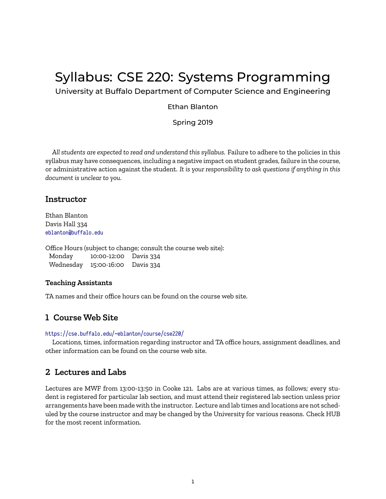# Syllabus: CSE 220: Systems Programming

University at Buffalo Department of Computer Science and Engineering

#### Ethan Blanton

Spring 2019

*All students are expected to read and understand this syllabus.* Failure to adhere to the policies in this syllabus may have consequences, including a negative impact on student grades, failure in the course, or administrative action against the student. *It is your responsibility to ask questions if anything in this document is unclear to you.*

### **Instructor**

Ethan Blanton Davis Hall 334 <eblanton@buffalo.edu>

Office Hours (subject to change; consult the course web site): Monday 10:00-12:00 Davis 334 Wednesday 15:00-16:00 Davis 334

#### **Teaching Assistants**

TA names and their office hours can be found on the course web site.

## **1 Course Web Site**

#### <https://cse.buffalo.edu/~eblanton/course/cse220/>

Locations, times, information regarding instructor and TA office hours, assignment deadlines, and other information can be found on the course web site.

## **2 Lectures and Labs**

Lectures are MWF from 13:00-13:50 in Cooke 121. Labs are at various times, as follows; every student is registered for particular lab section, and must attend their registered lab section unless prior arrangements have been made with the instructor. Lecture and lab times and locations are not scheduled by the course instructor and may be changed by the University for various reasons. Check HUB for the most recent information.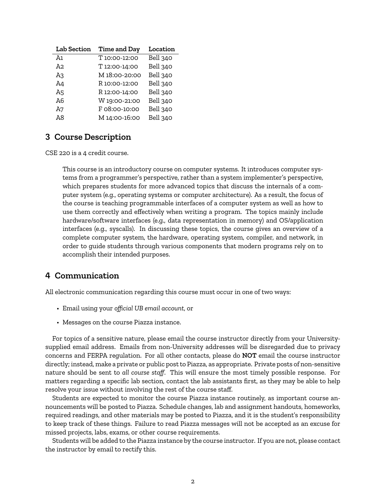| <b>Lab Section</b> | Time and Day  | Location        |
|--------------------|---------------|-----------------|
| Aı                 | T 10:00-12:00 | Bell 340        |
| A2.                | T 12:00-14:00 | <b>Bell 340</b> |
| A3                 | M 18:00-20:00 | Bell 340        |
| A4                 | R 10:00-12:00 | <b>Bell 340</b> |
| A5                 | R 12:00-14:00 | Bell 340        |
| A6                 | W 19:00-21:00 | <b>Bell 340</b> |
| A7                 | F 08:00-10:00 | Bell 340        |
| A8                 | M 14:00-16:00 | Bell 340        |

# **3 Course Description**

CSE 220 is a 4 credit course.

This course is an introductory course on computer systems. It introduces computer systems from a programmer's perspective, rather than a system implementer's perspective, which prepares students for more advanced topics that discuss the internals of a computer system (e.g., operating systems or computer architecture). As a result, the focus of the course is teaching programmable interfaces of a computer system as well as how to use them correctly and effectively when writing a program. The topics mainly include hardware/software interfaces (e.g., data representation in memory) and OS/application interfaces (e.g., syscalls). In discussing these topics, the course gives an overview of a complete computer system, the hardware, operating system, compiler, and network, in order to guide students through various components that modern programs rely on to accomplish their intended purposes.

# **4 Communication**

All electronic communication regarding this course must occur in one of two ways:

- Email using your *official UB email account*, or
- Messages on the course Piazza instance.

For topics of a sensitive nature, please email the course instructor directly from your Universitysupplied email address. Emails from non-University addresses will be disregarded due to privacy concerns and FERPA regulation. For all other contacts, please do **NOT** email the course instructor directly; instead, make a private or public post to Piazza, as appropriate. Private posts of non-sensitive nature should be sent to *all course staff*. This will ensure the most timely possible response. For matters regarding a specific lab section, contact the lab assistants first, as they may be able to help resolve your issue without involving the rest of the course staff.

Students are expected to monitor the course Piazza instance routinely, as important course announcements will be posted to Piazza. Schedule changes, lab and assignment handouts, homeworks, required readings, and other materials may be posted to Piazza, and it is the student's responsibility to keep track of these things. Failure to read Piazza messages will not be accepted as an excuse for missed projects, labs, exams, or other course requirements.

Students will be added to the Piazza instance by the course instructor. If you are not, please contact the instructor by email to rectify this.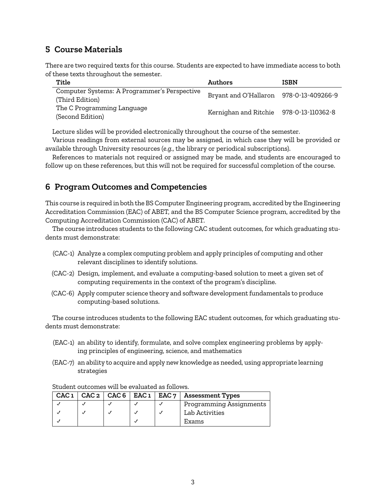# **5 Course Materials**

There are two required texts for this course. Students are expected to have immediate access to both of these texts throughout the semester.

| Title                                                           | Authors                                 | <b>ISBN</b> |
|-----------------------------------------------------------------|-----------------------------------------|-------------|
| Computer Systems: A Programmer's Perspective<br>(Third Edition) | Bryant and O'Hallaron 978-0-13-409266-9 |             |
| The C Programming Language<br>(Second Edition)                  | Kernighan and Ritchie 978-0-13-110362-8 |             |

Lecture slides will be provided electronically throughout the course of the semester.

Various readings from external sources may be assigned, in which case they will be provided or available through University resources (*e.g.*, the library or periodical subscriptions).

References to materials not required or assigned may be made, and students are encouraged to follow up on these references, but this will not be required for successful completion of the course.

# **6 Program Outcomes and Competencies**

This course is required in both the BS Computer Engineering program, accredited by the Engineering Accreditation Commission (EAC) of ABET, and the BS Computer Science program, accredited by the Computing Accreditation Commission (CAC) of ABET.

The course introduces students to the following CAC student outcomes, for which graduating students must demonstrate:

- (CAC-1) Analyze a complex computing problem and apply principles of computing and other relevant disciplines to identify solutions.
- (CAC-2) Design, implement, and evaluate a computing-based solution to meet a given set of computing requirements in the context of the program's discipline.
- (CAC-6) Apply computer science theory and software development fundamentals to produce computing-based solutions.

The course introduces students to the following EAC student outcomes, for which graduating students must demonstrate:

- (EAC-1) an ability to identify, formulate, and solve complex engineering problems by applying principles of engineering, science, and mathematics
- (EAC-7) an ability to acquire and apply new knowledge as needed, using appropriate learning strategies

|  |  | CAC $1  $ CAC $2  $ CAC $6  $ EAC $1  $ EAC $7  $ Assessment Types |
|--|--|--------------------------------------------------------------------|
|  |  | Programming Assignments                                            |
|  |  | Lab Activities                                                     |
|  |  | Exams                                                              |

Student outcomes will be evaluated as follows.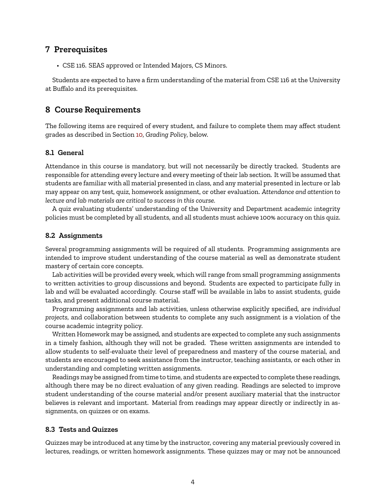## **7 Prerequisites**

• CSE 116. SEAS approved or Intended Majors, CS Minors.

Students are expected to have a firm understanding of the material from CSE 116 at the University at Buffalo and its prerequisites.

### **8 Course Requirements**

The following items are required of every student, and failure to complete them may affect student grades as described in Section [10](#page-6-0), *Grading Policy*, below.

#### **8.1 General**

Attendance in this course is mandatory, but will not necessarily be directly tracked. Students are responsible for attending every lecture and every meeting of their lab section. It will be assumed that students are familiar with all material presented in class, and any material presented in lecture or lab may appear on any test, quiz, homework assignment, or other evaluation. *Attendance and attention to lecture and lab materials are critical to success in this course.*

A quiz evaluating students' understanding of the University and Department academic integrity policies must be completed by all students, and all students must achieve 100% accuracy on this quiz.

#### **8.2 Assignments**

Several programming assignments will be required of all students. Programming assignments are intended to improve student understanding of the course material as well as demonstrate student mastery of certain core concepts.

Lab activities will be provided every week, which will range from small programming assignments to written activities to group discussions and beyond. Students are expected to participate fully in lab and will be evaluated accordingly. Course staff will be available in labs to assist students, guide tasks, and present additional course material.

Programming assignments and lab activities, unless otherwise explicitly specified, are *individual projects*, and collaboration between students to complete any such assignment is a violation of the course academic integrity policy.

Written Homework may be assigned, and students are expected to complete any such assignments in a timely fashion, although they will not be graded. These written assignments are intended to allow students to self-evaluate their level of preparedness and mastery of the course material, and students are encouraged to seek assistance from the instructor, teaching assistants, or each other in understanding and completing written assignments.

Readings may be assigned from time to time, and students are expected to complete these readings, although there may be no direct evaluation of any given reading. Readings are selected to improve student understanding of the course material and/or present auxiliary material that the instructor believes is relevant and important. Material from readings may appear directly or indirectly in assignments, on quizzes or on exams.

### **8.3 Tests and Quizzes**

Quizzes may be introduced at any time by the instructor, covering any material previously covered in lectures, readings, or written homework assignments. These quizzes may or may not be announced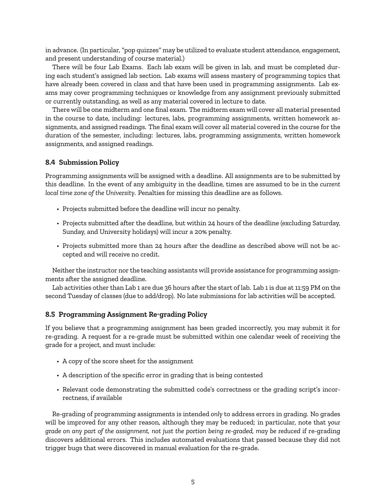in advance. (In particular, "pop quizzes" may be utilized to evaluate student attendance, engagement, and present understanding of course material.)

There will be four Lab Exams. Each lab exam will be given in lab, and must be completed during each student's assigned lab section. Lab exams will assess mastery of programming topics that have already been covered in class and that have been used in programming assignments. Lab exams may cover programming techniques or knowledge from any assignment previously submitted or currently outstanding, as well as any material covered in lecture to date.

There will be one midterm and one final exam. The midterm exam will cover all material presented in the course to date, including: lectures, labs, programming assignments, written homework assignments, and assigned readings. The final exam will cover all material covered in the course for the duration of the semester, including: lectures, labs, programming assignments, written homework assignments, and assigned readings.

#### **8.4 Submission Policy**

Programming assignments will be assigned with a deadline. All assignments are to be submitted by this deadline. In the event of any ambiguity in the deadline, times are assumed to be in the *current local time zone of the University*. Penalties for missing this deadline are as follows.

- Projects submitted before the deadline will incur no penalty.
- Projects submitted after the deadline, but within 24 hours of the deadline (excluding Saturday, Sunday, and University holidays) will incur a 20% penalty.
- Projects submitted more than 24 hours after the deadline as described above will not be accepted and will receive no credit.

Neither the instructor nor the teaching assistants will provide assistance for programming assignments after the assigned deadline.

Lab activities other than Lab 1 are due 36 hours after the start of lab. Lab 1 is due at 11:59 PM on the second Tuesday of classes (due to add/drop). No late submissions for lab activities will be accepted.

#### <span id="page-4-0"></span>**8.5 Programming Assignment Re-grading Policy**

If you believe that a programming assignment has been graded incorrectly, you may submit it for re-grading. A request for a re-grade must be submitted within one calendar week of receiving the grade for a project, and must include:

- A copy of the score sheet for the assignment
- A description of the specific error in grading that is being contested
- Relevant code demonstrating the submitted code's correctness or the grading script's incorrectness, if available

Re-grading of programming assignments is intended *only* to address errors in grading. No grades will be improved for any other reason, although they may be reduced; in particular, note that *your grade on any part of the assignment, not just the portion being re-graded, may be reduced* if re-grading discovers additional errors. This includes automated evaluations that passed because they did not trigger bugs that were discovered in manual evaluation for the re-grade.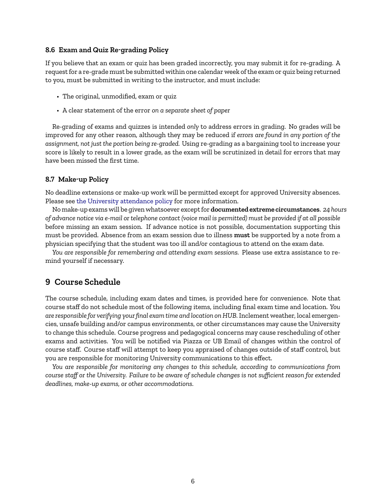#### <span id="page-5-0"></span>**8.6 Exam and Quiz Re-grading Policy**

If you believe that an exam or quiz has been graded incorrectly, you may submit it for re-grading. A request for a re-grade must be submitted within one calendar week of the exam or quiz being returned to you, must be submitted in writing to the instructor, and must include:

- The original, unmodified, exam or quiz
- A clear statement of the error *on a separate sheet of paper*

Re-grading of exams and quizzes is intended *only* to address errors in grading. No grades will be improved for any other reason, although they may be reduced if *errors are found in any portion of the assignment, not just the portion being re-graded.* Using re-grading as a bargaining tool to increase your score is likely to result in a lower grade, as the exam will be scrutinized in detail for errors that may have been missed the first time.

#### **8.7 Make-up Policy**

No deadline extensions or make-up work will be permitted except for approved University absences. Please see [the University attendance policy](https://catalog.buffalo.edu/policies/attendance.html) for more information.

No make-up exams will be given whatsoever except for **documented extreme circumstances**. *24 hours of advance notice via e-mail or telephone contact (voice mail is permitted) must be provided if at all possible* before missing an exam session. If advance notice is not possible, documentation supporting this must be provided. Absence from an exam session due to illness **must** be supported by a note from a physician specifying that the student was too ill and/or contagious to attend on the exam date.

*You are responsible for remembering and attending exam sessions.* Please use extra assistance to remind yourself if necessary.

# **9 Course Schedule**

The course schedule, including exam dates and times, is provided here for convenience. Note that course staff do not schedule most of the following items, including final exam time and location. *You are responsible for verifying your final exam time and location on HUB.* Inclement weather, local emergencies, unsafe building and/or campus environments, or other circumstances may cause the University to change this schedule. Course progress and pedagogical concerns may cause rescheduling of other exams and activities. You will be notified via Piazza or UB Email of changes within the control of course staff. Course staff will attempt to keep you appraised of changes outside of staff control, but you are responsible for monitoring University communications to this effect.

*You are responsible for monitoring any changes to this schedule, according to communications from course staff or the University. Failure to be aware of schedule changes is not sufficient reason for extended deadlines, make-up exams, or other accommodations.*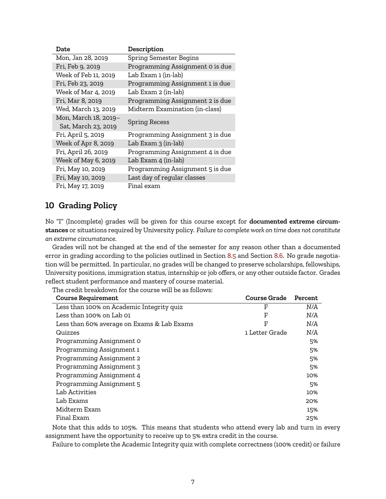| Date                 | Description                     |  |  |
|----------------------|---------------------------------|--|--|
| Mon, Jan 28, 2019    | <b>Spring Semester Begins</b>   |  |  |
| Fri, Feb 9, 2019     | Programming Assignment 0 is due |  |  |
| Week of Feb 11, 2019 | Lab Exam 1 (in-lab)             |  |  |
| Fri, Feb 23, 2019    | Programming Assignment 1 is due |  |  |
| Week of Mar 4, 2019  | Lab Exam 2 (in-lab)             |  |  |
| Fri, Mar 8, 2019     | Programming Assignment 2 is due |  |  |
| Wed, March 13, 2019  | Midterm Examination (in-class)  |  |  |
| Mon, March 18, 2019- |                                 |  |  |
| Sat, March 23, 2019  | <b>Spring Recess</b>            |  |  |
| Fri, April 5, 2019   | Programming Assignment 3 is due |  |  |
| Week of Apr 8, 2019  | Lab Exam 3 (in-lab)             |  |  |
| Fri, April 26, 2019  | Programming Assignment 4 is due |  |  |
| Week of May 6, 2019  | Lab Exam 4 (in-lab)             |  |  |
| Fri, May 10, 2019    | Programming Assignment 5 is due |  |  |
| Fri, May 10, 2019    | Last day of regular classes     |  |  |
| Fri, May 17, 2019    | Final exam                      |  |  |

# <span id="page-6-0"></span>**10 Grading Policy**

No "I" (Incomplete) grades will be given for this course except for **documented extreme circumstances** or situations required by University policy. *Failure to complete work on time does not constitute an extreme circumstance.*

Grades will not be changed at the end of the semester for any reason other than a documented error in grading according to the policies outlined in Section [8.5](#page-4-0) and Section [8.6.](#page-5-0) No grade negotiation will be permitted. In particular, no grades will be changed to preserve scholarships, fellowships, University positions, immigration status, internship or job offers, or any other outside factor. Grades reflect student performance and mastery of course material.

The credit breakdown for the course will be as follows:

| <b>Course Grade</b> | Percent |
|---------------------|---------|
| F                   | N/A     |
| F                   | N/A     |
| F                   | N/A     |
| 1 Letter Grade      | N/A     |
|                     | 5%      |
|                     | 5%      |
|                     | 5%      |
|                     | 5%      |
|                     | 10%     |
|                     | 5%      |
|                     | 10%     |
|                     | 20%     |
|                     | 15%     |
|                     | 25%     |
|                     |         |

Note that this adds to 105%. This means that students who attend every lab and turn in every assignment have the opportunity to receive up to 5% extra credit in the course.

Failure to complete the Academic Integrity quiz with complete correctness (100% credit) or failure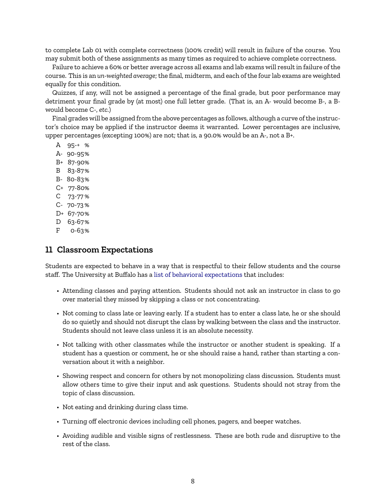to complete Lab 01 with complete correctness (100% credit) will result in failure of the course. You may submit both of these assignments as many times as required to achieve complete correctness.

Failure to achieve a 60% or better average across all exams and lab exams will result in failure of the course. This is an *un-weighted average*; the final, midterm, and each of the four lab exams are weighted equally for this condition.

Quizzes, if any, will not be assigned a percentage of the final grade, but poor performance may detriment your final grade by (at most) one full letter grade. (That is, an A- would become B-, a Bwould become C-, *etc.*)

Final grades will be assigned from the above percentages as follows, although a curve of the instructor's choice may be applied if the instructor deems it warranted. Lower percentages are inclusive, upper percentages (excepting 100%) are not; that is, a 90.0% would be an A-, not a B+.

- A 95-+ % A- 90-95%
- B+ 87-90%
- B 83-87%
- B- 80-83%
- C+ 77-80%
- C 73-77 %
- C- 70-73 %
- D+ 67-70%
- D 63-67%
- F 0-63%

### **11 Classroom Expectations**

Students are expected to behave in a way that is respectful to their fellow students and the course staff. The University at Buffalo has a [list of behavioral expectations](https://catalog.buffalo.edu/policies/obstruction.html) that includes:

- Attending classes and paying attention. Students should not ask an instructor in class to go over material they missed by skipping a class or not concentrating.
- Not coming to class late or leaving early. If a student has to enter a class late, he or she should do so quietly and should not disrupt the class by walking between the class and the instructor. Students should not leave class unless it is an absolute necessity.
- Not talking with other classmates while the instructor or another student is speaking. If a student has a question or comment, he or she should raise a hand, rather than starting a conversation about it with a neighbor.
- Showing respect and concern for others by not monopolizing class discussion. Students must allow others time to give their input and ask questions. Students should not stray from the topic of class discussion.
- Not eating and drinking during class time.
- Turning off electronic devices including cell phones, pagers, and beeper watches.
- Avoiding audible and visible signs of restlessness. These are both rude and disruptive to the rest of the class.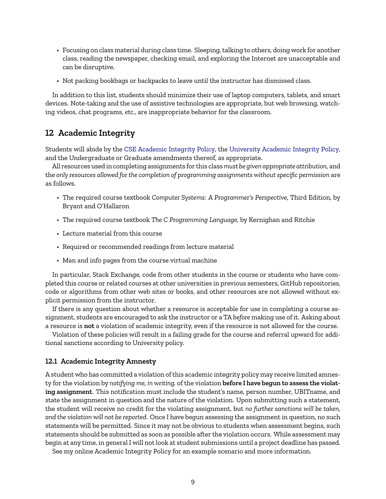- Focusing on class material during class time. Sleeping, talking to others, doing work for another class, reading the newspaper, checking email, and exploring the Internet are unacceptable and can be disruptive.
- Not packing bookbags or backpacks to leave until the instructor has dismissed class.

In addition to this list, students should minimize their use of laptop computers, tablets, and smart devices. Note-taking and the use of assistive technologies are appropriate, but web browsing, watching videos, chat programs, *etc.*, are inappropriate behavior for the classroom.

# **12 Academic Integrity**

Students will abide by the [CSE Academic Integrity Policy,](https://engineering.buffalo.edu/computer-science-engineering/information-for-students/policies/academic-integrity-students.html) the [University Academic Integrity Policy,](https://catalog.buffalo.edu/policies/integrity.html) and the Undergraduate or Graduate amendments thereof, as appropriate.

All resources used in completing assignments for this class*must be given appropriate attribution*, and the *only resources allowed for the completion of programming assignments without specific permission* are as follows.

- The required course textbook *Computer Systems: A Programmer's Perspective*, Third Edition, by Bryant and O'Hallaron
- The required course textbook *The C Programming Language,* by Kernighan and Ritchie
- Lecture material from this course
- Required or recommended readings from lecture material
- Man and info pages from the course virtual machine

In particular, Stack Exchange, code from other students in the course or students who have completed this course or related courses at other universities in previous semesters, GitHub repositories, code or algorithms from other web sites or books, and other resources are not allowed without explicit permission from the instructor.

If there is any question about whether a resource is acceptable for use in completing a course assignment, students are encouraged to ask the instructor or a TA *before* making use of it. Asking about a resource is **not** a violation of academic integrity, even if the resource is not allowed for the course.

Violation of these policies will result in a failing grade for the course and referral upward for additional sanctions according to University policy.

#### **12.1 Academic Integrity Amnesty**

A student who has committed a violation of this academic integrity policy may receive limited amnesty for the violation by *notifying me, in writing,* of the violation **before I have begun to assess the violating assignment**. This notification must include the student's name, person number, UBITname, and state the assignment in question and the nature of the violation. Upon submitting such a statement, the student will receive no credit for the violating assignment, but *no further sanctions will be taken, and the violation will not be reported*. Once I have begun assessing the assignment in question, no such statements will be permitted. Since it may not be obvious to students when assessment begins, such statements should be submitted as soon as possible after the violation occurs. While assessment may begin at any time, in general I will not look at student submissions until a project deadline has passed.

See my online Academic Integrity Policy for an example scenario and more information.